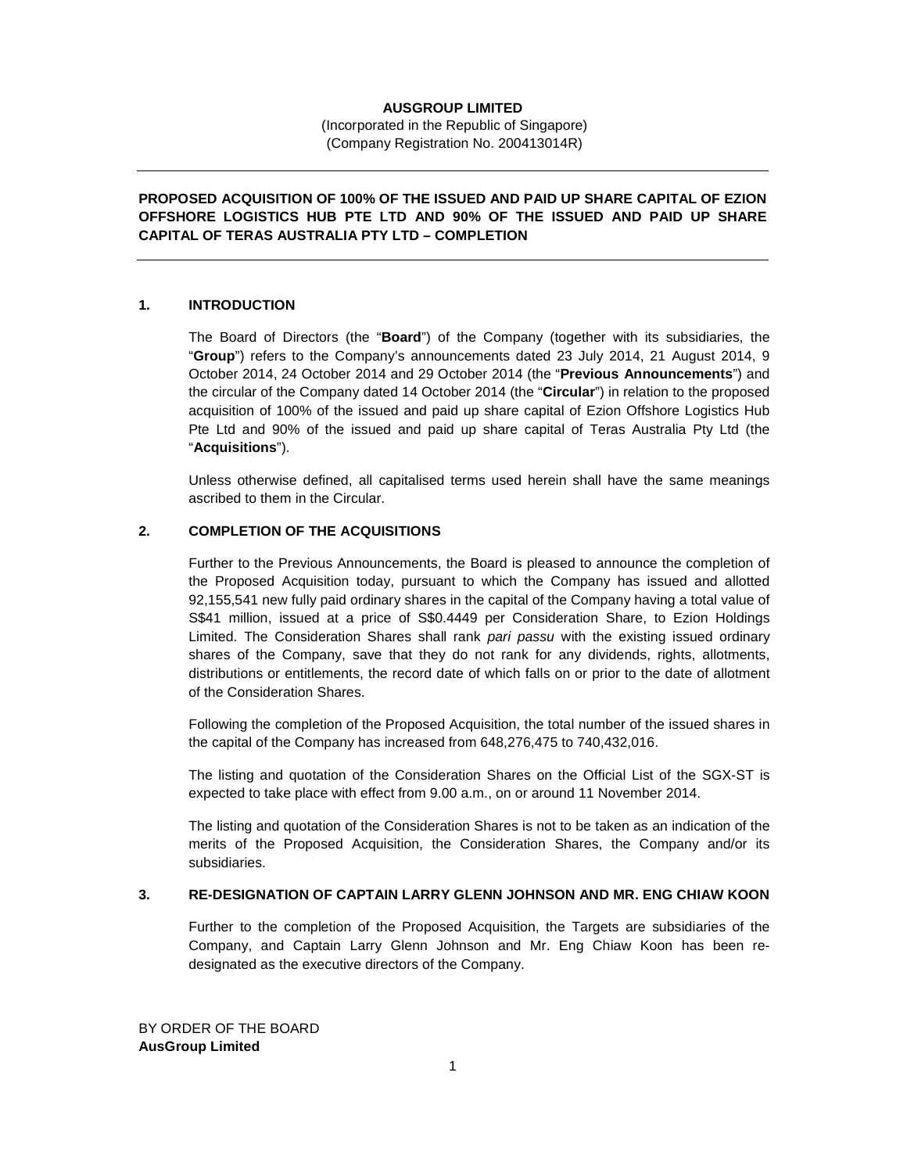### **AUSGROUP LIMITED**

 (Incorporated in the Republic of Singapore) (Company Registration No. 200413014R)

# **PROPOSED ACQUISITION OF 100% OF THE ISSUED AND PAID UP SHARE CAPITAL OF EZION OFFSHORE LOGISTICS HUB PTE LTD AND 90% OF THE ISSUED AND PAID UP SHARE CAPITAL OF TERAS AUSTRALIA PTY LTD – COMPLETION**

### **1. INTRODUCTION**

The Board of Directors (the "**Board**") of the Company (together with its subsidiaries, the "**Group**") refers to the Company's announcements dated 23 July 2014, 21 August 2014, 9 October 2014, 24 October 2014 and 29 October 2014 (the "**Previous Announcements**") and the circular of the Company dated 14 October 2014 (the "**Circular**") in relation to the proposed acquisition of 100% of the issued and paid up share capital of Ezion Offshore Logistics Hub Pte Ltd and 90% of the issued and paid up share capital of Teras Australia Pty Ltd (the "**Acquisitions**").

Unless otherwise defined, all capitalised terms used herein shall have the same meanings ascribed to them in the Circular.

# **2. COMPLETION OF THE ACQUISITIONS**

Further to the Previous Announcements, the Board is pleased to announce the completion of the Proposed Acquisition today, pursuant to which the Company has issued and allotted 92,155,541 new fully paid ordinary shares in the capital of the Company having a total value of S\$41 million, issued at a price of S\$0.4449 per Consideration Share, to Ezion Holdings Limited. The Consideration Shares shall rank pari passu with the existing issued ordinary shares of the Company, save that they do not rank for any dividends, rights, allotments, distributions or entitlements, the record date of which falls on or prior to the date of allotment of the Consideration Shares.

Following the completion of the Proposed Acquisition, the total number of the issued shares in the capital of the Company has increased from 648,276,475 to 740,432,016.

The listing and quotation of the Consideration Shares on the Official List of the SGX-ST is expected to take place with effect from 9.00 a.m., on or around 11 November 2014.

The listing and quotation of the Consideration Shares is not to be taken as an indication of the merits of the Proposed Acquisition, the Consideration Shares, the Company and/or its subsidiaries.

#### **3. RE-DESIGNATION OF CAPTAIN LARRY GLENN JOHNSON AND MR. ENG CHIAW KOON**

Further to the completion of the Proposed Acquisition, the Targets are subsidiaries of the Company, and Captain Larry Glenn Johnson and Mr. Eng Chiaw Koon has been redesignated as the executive directors of the Company.

BY ORDER OF THE BOARD **AusGroup Limited**